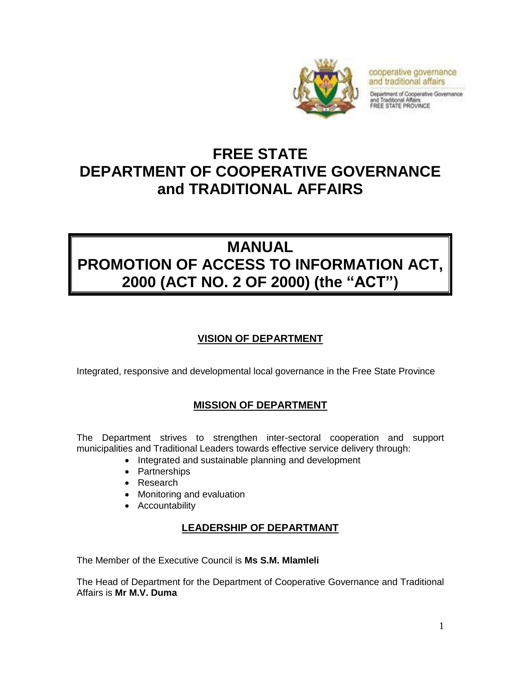

cooperative governance and traditional affairs

Department of Cooperative Governance and Traditional Affairs<br>FREE STATE PROVINCE

# **FREE STATE DEPARTMENT OF COOPERATIVE GOVERNANCE and TRADITIONAL AFFAIRS**

# **MANUAL PROMOTION OF ACCESS TO INFORMATION ACT, 2000 (ACT NO. 2 OF 2000) (the "ACT")**

# **VISION OF DEPARTMENT**

Integrated, responsive and developmental local governance in the Free State Province

# **MISSION OF DEPARTMENT**

The Department strives to strengthen inter-sectoral cooperation and support municipalities and Traditional Leaders towards effective service delivery through:

- Integrated and sustainable planning and development
- Partnerships
- Research
- Monitoring and evaluation
- Accountability

# **LEADERSHIP OF DEPARTMANT**

The Member of the Executive Council is **Ms S.M. Mlamleli**

The Head of Department for the Department of Cooperative Governance and Traditional Affairs is **Mr M.V. Duma**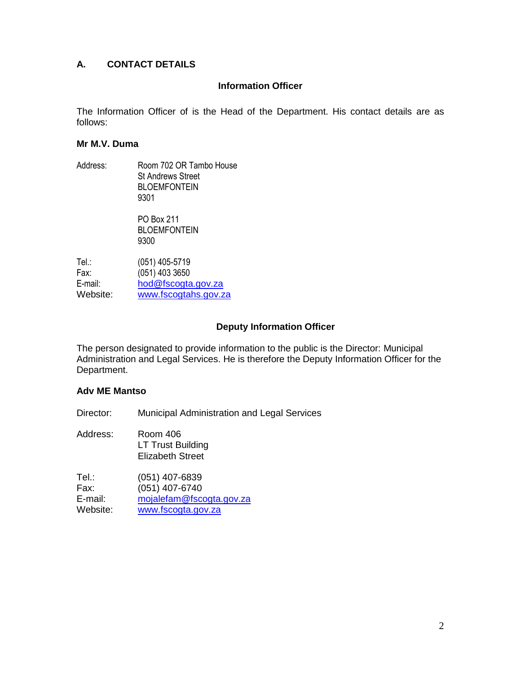# **A. CONTACT DETAILS**

#### **Information Officer**

The Information Officer of is the Head of the Department. His contact details are as follows:

#### **Mr M.V. Duma**

Address: Room 702 OR Tambo House St Andrews Street BLOEMFONTEIN 9301

> PO Box 211 BLOEMFONTEIN 9300

| $(051)$ 405-5719     |
|----------------------|
| $(051)$ 403 3650     |
| hod@fscogta.gov.za   |
| www.fscogtahs.gov.za |
|                      |

#### **Deputy Information Officer**

The person designated to provide information to the public is the Director: Municipal Administration and Legal Services. He is therefore the Deputy Information Officer for the Department.

#### **Adv ME Mantso**

Director: Municipal Administration and Legal Services

Address: Room 406 LT Trust Building Elizabeth Street Tel.: (051) 407-6839 Fax: (051) 407-6740 E-mail: [mojalefam@fscogta.gov.za](mailto:mojalefam@fscogta.gov.za) Website: [www.fscogta.gov.za](http://www.fscogta.gov.za/)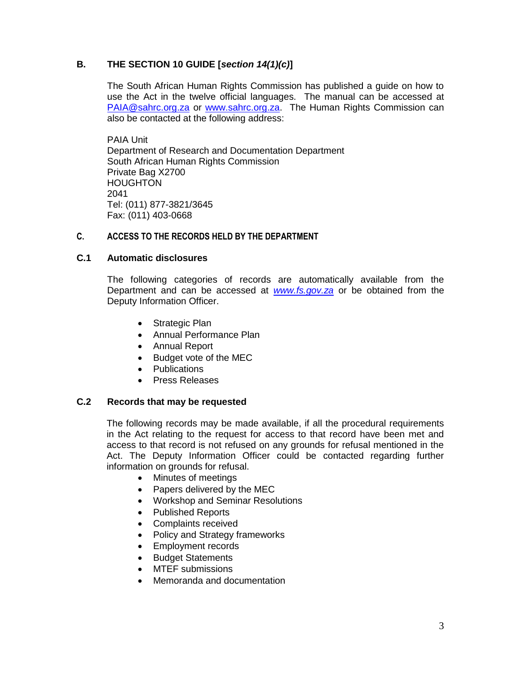# **B. THE SECTION 10 GUIDE [***section 14(1)(c)***]**

The South African Human Rights Commission has published a guide on how to use the Act in the twelve official languages. The manual can be accessed at [PAIA@sahrc.org.za](mailto:PAIA@sahrc.org.za) or [www.sahrc.org.za.](http://www.sahrc.org.za/) The Human Rights Commission can also be contacted at the following address:

PAIA Unit Department of Research and Documentation Department South African Human Rights Commission Private Bag X2700 HOUGHTON 2041 Tel: (011) 877-3821/3645 Fax: (011) 403-0668

#### **C. ACCESS TO THE RECORDS HELD BY THE DEPARTMENT**

#### **C.1 Automatic disclosures**

The following categories of records are automatically available from the Department and can be accessed at *[www.fs.gov.za](http://www.fs.gov.za/)* or be obtained from the Deputy Information Officer.

- Strategic Plan
- Annual Performance Plan
- Annual Report
- Budget vote of the MEC
- Publications
- Press Releases

#### **C.2 Records that may be requested**

The following records may be made available, if all the procedural requirements in the Act relating to the request for access to that record have been met and access to that record is not refused on any grounds for refusal mentioned in the Act. The Deputy Information Officer could be contacted regarding further information on grounds for refusal.

- Minutes of meetings
- Papers delivered by the MEC
- Workshop and Seminar Resolutions
- Published Reports
- Complaints received
- Policy and Strategy frameworks
- Employment records
- Budget Statements
- MTEF submissions
- Memoranda and documentation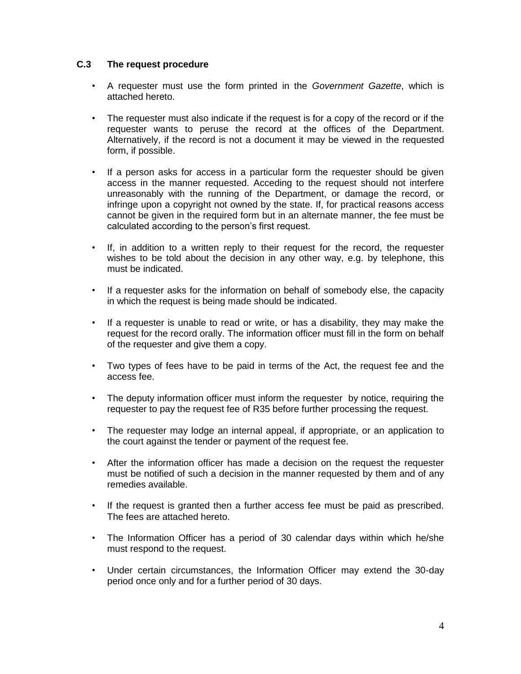#### **C.3 The request procedure**

- A requester must use the form printed in the *Government Gazette*, which is attached hereto.
- The requester must also indicate if the request is for a copy of the record or if the requester wants to peruse the record at the offices of the Department. Alternatively, if the record is not a document it may be viewed in the requested form, if possible.
- If a person asks for access in a particular form the requester should be given access in the manner requested. Acceding to the request should not interfere unreasonably with the running of the Department, or damage the record, or infringe upon a copyright not owned by the state. If, for practical reasons access cannot be given in the required form but in an alternate manner, the fee must be calculated according to the person's first request.
- If, in addition to a written reply to their request for the record, the requester wishes to be told about the decision in any other way, e.g. by telephone, this must be indicated.
- If a requester asks for the information on behalf of somebody else, the capacity in which the request is being made should be indicated.
- If a requester is unable to read or write, or has a disability, they may make the request for the record orally. The information officer must fill in the form on behalf of the requester and give them a copy.
- Two types of fees have to be paid in terms of the Act, the request fee and the access fee.
- The deputy information officer must inform the requester by notice, requiring the requester to pay the request fee of R35 before further processing the request.
- The requester may lodge an internal appeal, if appropriate, or an application to the court against the tender or payment of the request fee.
- After the information officer has made a decision on the request the requester must be notified of such a decision in the manner requested by them and of any remedies available.
- If the request is granted then a further access fee must be paid as prescribed. The fees are attached hereto.
- The Information Officer has a period of 30 calendar days within which he/she must respond to the request.
- Under certain circumstances, the Information Officer may extend the 30-day period once only and for a further period of 30 days.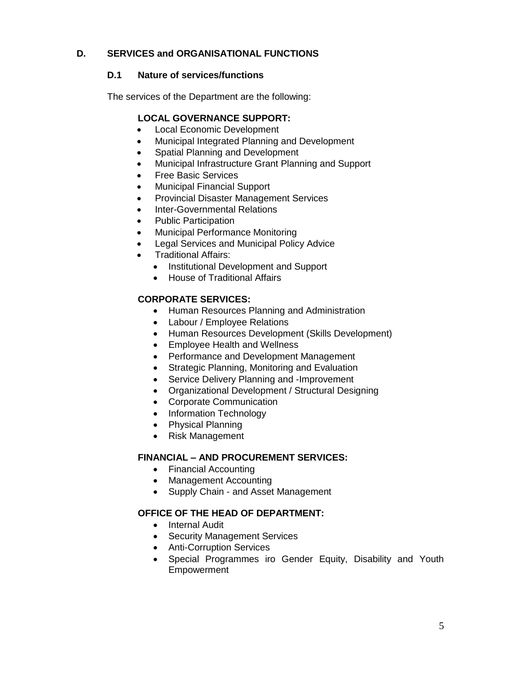# **D. SERVICES and ORGANISATIONAL FUNCTIONS**

## **D.1 Nature of services/functions**

The services of the Department are the following:

## **LOCAL GOVERNANCE SUPPORT:**

- Local Economic Development
- Municipal Integrated Planning and Development
- Spatial Planning and Development
- Municipal Infrastructure Grant Planning and Support
- Free Basic Services
- Municipal Financial Support
- Provincial Disaster Management Services
- Inter-Governmental Relations
- Public Participation
- Municipal Performance Monitoring
- **•** Legal Services and Municipal Policy Advice
- Traditional Affairs:
	- Institutional Development and Support
	- House of Traditional Affairs

## **CORPORATE SERVICES:**

- Human Resources Planning and Administration
- Labour / Employee Relations
- Human Resources Development (Skills Development)
- Employee Health and Wellness
- Performance and Development Management
- Strategic Planning, Monitoring and Evaluation
- Service Delivery Planning and -Improvement
- Organizational Development / Structural Designing
- Corporate Communication
- Information Technology
- Physical Planning
- Risk Management

#### **FINANCIAL – AND PROCUREMENT SERVICES:**

- Financial Accounting
- Management Accounting
- Supply Chain and Asset Management

# **OFFICE OF THE HEAD OF DEPARTMENT:**

- Internal Audit
- Security Management Services
- Anti-Corruption Services
- Special Programmes iro Gender Equity, Disability and Youth Empowerment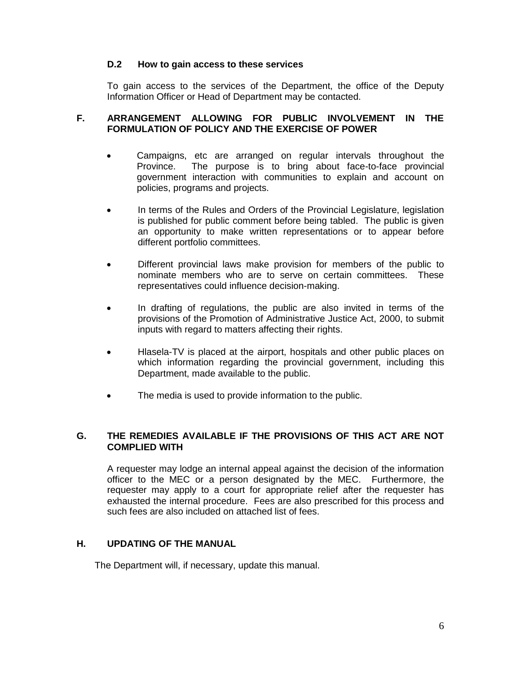#### **D.2 How to gain access to these services**

To gain access to the services of the Department, the office of the Deputy Information Officer or Head of Department may be contacted.

#### **F. ARRANGEMENT ALLOWING FOR PUBLIC INVOLVEMENT IN THE FORMULATION OF POLICY AND THE EXERCISE OF POWER**

- Campaigns, etc are arranged on regular intervals throughout the Province. The purpose is to bring about face-to-face provincial government interaction with communities to explain and account on policies, programs and projects.
- In terms of the Rules and Orders of the Provincial Legislature, legislation is published for public comment before being tabled. The public is given an opportunity to make written representations or to appear before different portfolio committees.
- Different provincial laws make provision for members of the public to nominate members who are to serve on certain committees. These representatives could influence decision-making.
- In drafting of regulations, the public are also invited in terms of the provisions of the Promotion of Administrative Justice Act, 2000, to submit inputs with regard to matters affecting their rights.
- Hlasela-TV is placed at the airport, hospitals and other public places on which information regarding the provincial government, including this Department, made available to the public.
- The media is used to provide information to the public.

#### **G. THE REMEDIES AVAILABLE IF THE PROVISIONS OF THIS ACT ARE NOT COMPLIED WITH**

A requester may lodge an internal appeal against the decision of the information officer to the MEC or a person designated by the MEC. Furthermore, the requester may apply to a court for appropriate relief after the requester has exhausted the internal procedure. Fees are also prescribed for this process and such fees are also included on attached list of fees.

#### **H. UPDATING OF THE MANUAL**

The Department will, if necessary, update this manual.